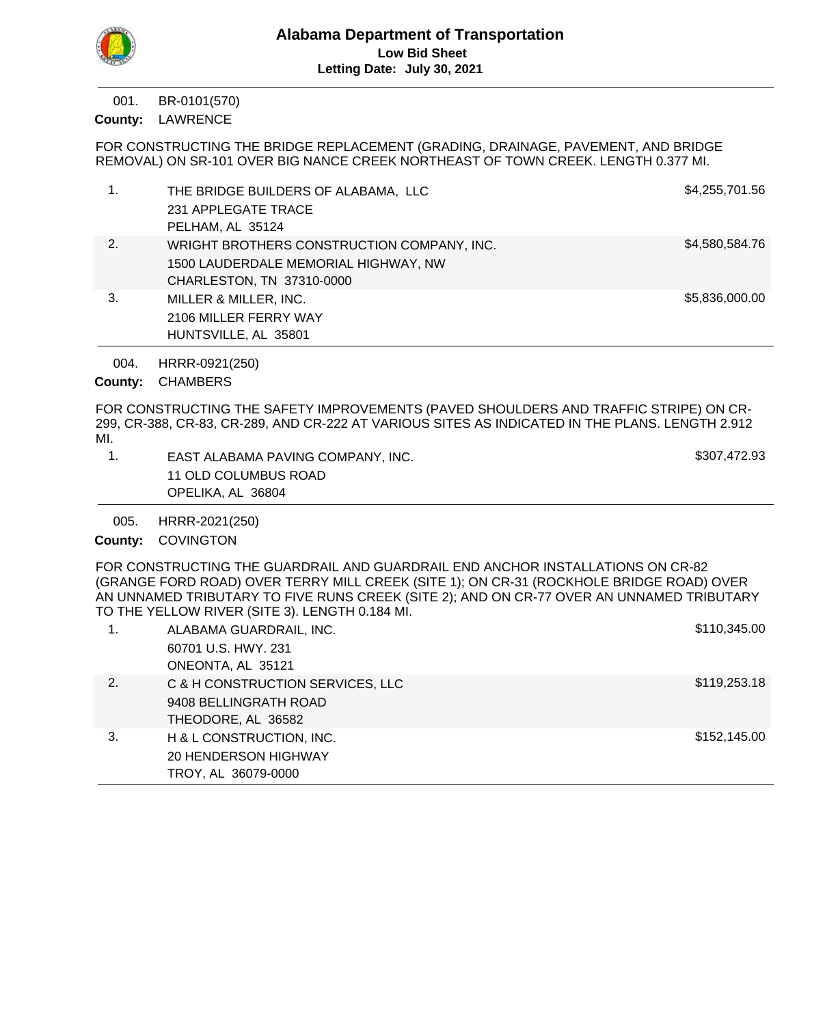BR-0101(570) 001.

County: LAWRENCE

FOR CONSTRUCTING THE BRIDGE REPLACEMENT (GRADING, DRAINAGE, PAVEMENT, AND BRIDGE REMOVAL) ON SR-101 OVER BIG NANCE CREEK NORTHEAST OF TOWN CREEK. LENGTH 0.377 MI.

| 1. | THE BRIDGE BUILDERS OF ALABAMA, LLC        | \$4,255,701.56 |
|----|--------------------------------------------|----------------|
|    | 231 APPLEGATE TRACE                        |                |
|    | PELHAM, AL 35124                           |                |
| 2. | WRIGHT BROTHERS CONSTRUCTION COMPANY, INC. | \$4,580,584.76 |
|    | 1500 LAUDERDALE MEMORIAL HIGHWAY, NW       |                |
|    | CHARLESTON, TN 37310-0000                  |                |
| 3. | MILLER & MILLER, INC.                      | \$5,836,000.00 |
|    | 2106 MILLER FERRY WAY                      |                |
|    | HUNTSVILLE, AL 35801                       |                |

HRRR-0921(250) 004.

County: CHAMBERS

FOR CONSTRUCTING THE SAFETY IMPROVEMENTS (PAVED SHOULDERS AND TRAFFIC STRIPE) ON CR-299, CR-388, CR-83, CR-289, AND CR-222 AT VARIOUS SITES AS INDICATED IN THE PLANS. LENGTH 2.912 MI.

| EAST ALABAMA PAVING COMPANY, INC. | \$307,472.93 |
|-----------------------------------|--------------|
| 11 OLD COLUMBUS ROAD              |              |
| OPELIKA, AL 36804                 |              |

HRRR-2021(250) 005.

County: COVINGTON

FOR CONSTRUCTING THE GUARDRAIL AND GUARDRAIL END ANCHOR INSTALLATIONS ON CR-82 (GRANGE FORD ROAD) OVER TERRY MILL CREEK (SITE 1); ON CR-31 (ROCKHOLE BRIDGE ROAD) OVER AN UNNAMED TRIBUTARY TO FIVE RUNS CREEK (SITE 2); AND ON CR-77 OVER AN UNNAMED TRIBUTARY TO THE YELLOW RIVER (SITE 3). LENGTH 0.184 MI.

| 1. | ALABAMA GUARDRAIL, INC.          | \$110,345.00 |
|----|----------------------------------|--------------|
|    | 60701 U.S. HWY. 231              |              |
|    | ONEONTA, AL 35121                |              |
| 2. | C & H CONSTRUCTION SERVICES, LLC | \$119,253.18 |
|    | 9408 BELLINGRATH ROAD            |              |
|    | THEODORE, AL 36582               |              |
| 3. | H & L CONSTRUCTION, INC.         | \$152,145.00 |
|    | 20 HENDERSON HIGHWAY             |              |
|    | TROY, AL 36079-0000              |              |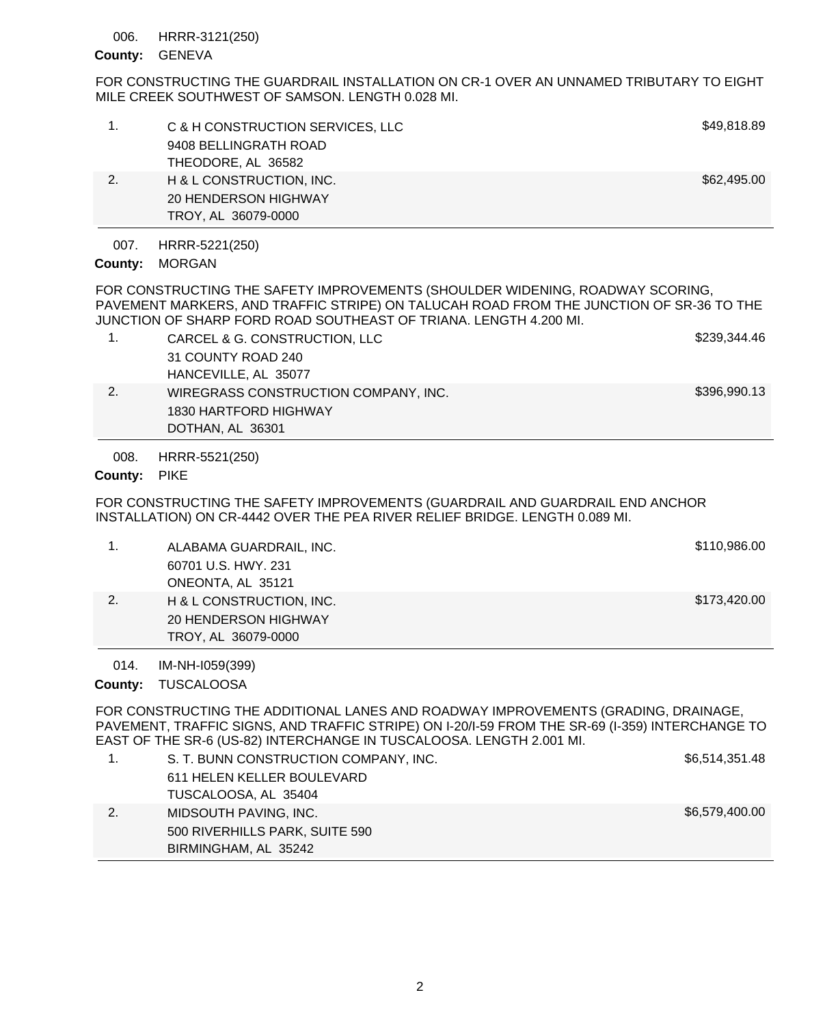#### HRRR-3121(250) 006.

### County: GENEVA

FOR CONSTRUCTING THE GUARDRAIL INSTALLATION ON CR-1 OVER AN UNNAMED TRIBUTARY TO EIGHT MILE CREEK SOUTHWEST OF SAMSON. LENGTH 0.028 MI.

|    | TROY, AL 36079-0000              |             |
|----|----------------------------------|-------------|
|    | 20 HENDERSON HIGHWAY             |             |
| 2. | H & L CONSTRUCTION, INC.         | \$62,495.00 |
|    | THEODORE, AL 36582               |             |
|    | 9408 BELLINGRATH ROAD            |             |
|    | C & H CONSTRUCTION SERVICES, LLC | \$49,818.89 |
|    |                                  |             |

HRRR-5221(250) 007.

County: MORGAN

FOR CONSTRUCTING THE SAFETY IMPROVEMENTS (SHOULDER WIDENING, ROADWAY SCORING, PAVEMENT MARKERS, AND TRAFFIC STRIPE) ON TALUCAH ROAD FROM THE JUNCTION OF SR-36 TO THE JUNCTION OF SHARP FORD ROAD SOUTHEAST OF TRIANA. LENGTH 4.200 MI.

|    | CARCEL & G. CONSTRUCTION, LLC        | \$239.344.46 |
|----|--------------------------------------|--------------|
|    | 31 COUNTY ROAD 240                   |              |
|    | HANCEVILLE, AL 35077                 |              |
| 2. | WIREGRASS CONSTRUCTION COMPANY, INC. | \$396,990.13 |
|    | 1830 HARTFORD HIGHWAY                |              |
|    | DOTHAN, AL 36301                     |              |

HRRR-5521(250) 008.

## County: PIKE

FOR CONSTRUCTING THE SAFETY IMPROVEMENTS (GUARDRAIL AND GUARDRAIL END ANCHOR INSTALLATION) ON CR-4442 OVER THE PEA RIVER RELIEF BRIDGE. LENGTH 0.089 MI.

|    | ALABAMA GUARDRAIL, INC.  | \$110,986.00 |
|----|--------------------------|--------------|
|    | 60701 U.S. HWY, 231      |              |
|    | ONEONTA, AL 35121        |              |
| 2. | H & L CONSTRUCTION, INC. | \$173,420.00 |
|    | 20 HENDERSON HIGHWAY     |              |
|    | TROY, AL 36079-0000      |              |

IM-NH-I059(399) 014.

County: TUSCALOOSA

FOR CONSTRUCTING THE ADDITIONAL LANES AND ROADWAY IMPROVEMENTS (GRADING, DRAINAGE, PAVEMENT, TRAFFIC SIGNS, AND TRAFFIC STRIPE) ON I-20/I-59 FROM THE SR-69 (I-359) INTERCHANGE TO EAST OF THE SR-6 (US-82) INTERCHANGE IN TUSCALOOSA. LENGTH 2.001 MI.

| S. T. BUNN CONSTRUCTION COMPANY, INC. | \$6,514,351.48 |
|---------------------------------------|----------------|
| 611 HELEN KELLER BOULEVARD            |                |
| TUSCALOOSA, AL 35404                  |                |
| MIDSOUTH PAVING, INC.                 | \$6,579,400.00 |
| 500 RIVERHILLS PARK, SUITE 590        |                |
| BIRMINGHAM, AL 35242                  |                |
|                                       |                |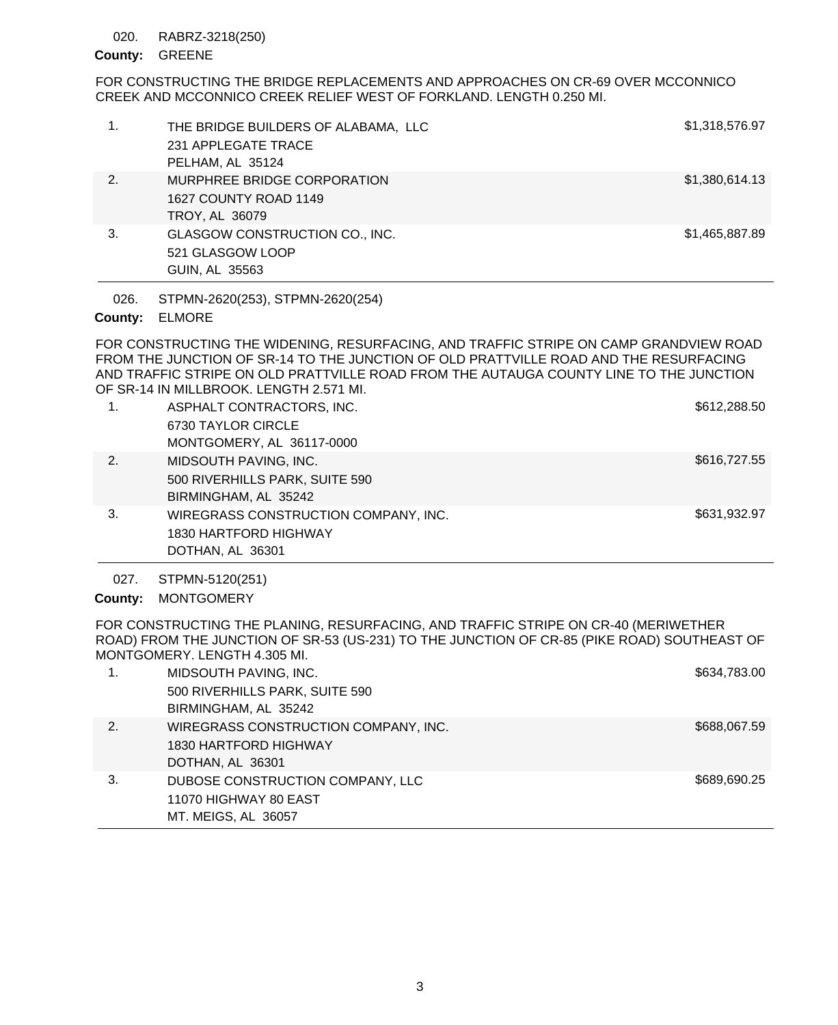#### RABRZ-3218(250) 020.

## County: GREENE

FOR CONSTRUCTING THE BRIDGE REPLACEMENTS AND APPROACHES ON CR-69 OVER MCCONNICO CREEK AND MCCONNICO CREEK RELIEF WEST OF FORKLAND. LENGTH 0.250 MI.

|    | THE BRIDGE BUILDERS OF ALABAMA, LLC<br>231 APPLEGATE TRACE<br>PELHAM, AL 35124 | \$1,318,576.97 |
|----|--------------------------------------------------------------------------------|----------------|
| 2. | MURPHREE BRIDGE CORPORATION<br>1627 COUNTY ROAD 1149<br>TROY, AL 36079         | \$1,380,614.13 |
| 3. | GLASGOW CONSTRUCTION CO., INC.<br>521 GLASGOW LOOP<br>GUIN, AL 35563           | \$1,465,887.89 |

STPMN-2620(253), STPMN-2620(254) 026.

## ELMORE **County:**

FOR CONSTRUCTING THE WIDENING, RESURFACING, AND TRAFFIC STRIPE ON CAMP GRANDVIEW ROAD FROM THE JUNCTION OF SR-14 TO THE JUNCTION OF OLD PRATTVILLE ROAD AND THE RESURFACING AND TRAFFIC STRIPE ON OLD PRATTVILLE ROAD FROM THE AUTAUGA COUNTY LINE TO THE JUNCTION OF SR-14 IN MILLBROOK. LENGTH 2.571 MI.

| 1.  | ASPHALT CONTRACTORS, INC.<br>6730 TAYLOR CIRCLE<br>MONTGOMERY, AL 36117-0000      | \$612,288.50 |
|-----|-----------------------------------------------------------------------------------|--------------|
| 2.  | MIDSOUTH PAVING, INC.<br>500 RIVERHILLS PARK, SUITE 590<br>BIRMINGHAM, AL 35242   | \$616,727.55 |
| -3. | WIREGRASS CONSTRUCTION COMPANY, INC.<br>1830 HARTFORD HIGHWAY<br>DOTHAN, AL 36301 | \$631,932.97 |

STPMN-5120(251) 027.

County: MONTGOMERY

FOR CONSTRUCTING THE PLANING, RESURFACING, AND TRAFFIC STRIPE ON CR-40 (MERIWETHER ROAD) FROM THE JUNCTION OF SR-53 (US-231) TO THE JUNCTION OF CR-85 (PIKE ROAD) SOUTHEAST OF MONTGOMERY. LENGTH 4.305 MI.

|    | MIDSOUTH PAVING, INC.                | \$634,783.00 |
|----|--------------------------------------|--------------|
|    | 500 RIVERHILLS PARK, SUITE 590       |              |
|    | BIRMINGHAM, AL 35242                 |              |
| 2. | WIREGRASS CONSTRUCTION COMPANY, INC. | \$688,067.59 |
|    | 1830 HARTFORD HIGHWAY                |              |
|    | DOTHAN, AL 36301                     |              |
| 3. | DUBOSE CONSTRUCTION COMPANY, LLC     | \$689,690.25 |
|    | 11070 HIGHWAY 80 EAST                |              |
|    | MT. MEIGS, AL 36057                  |              |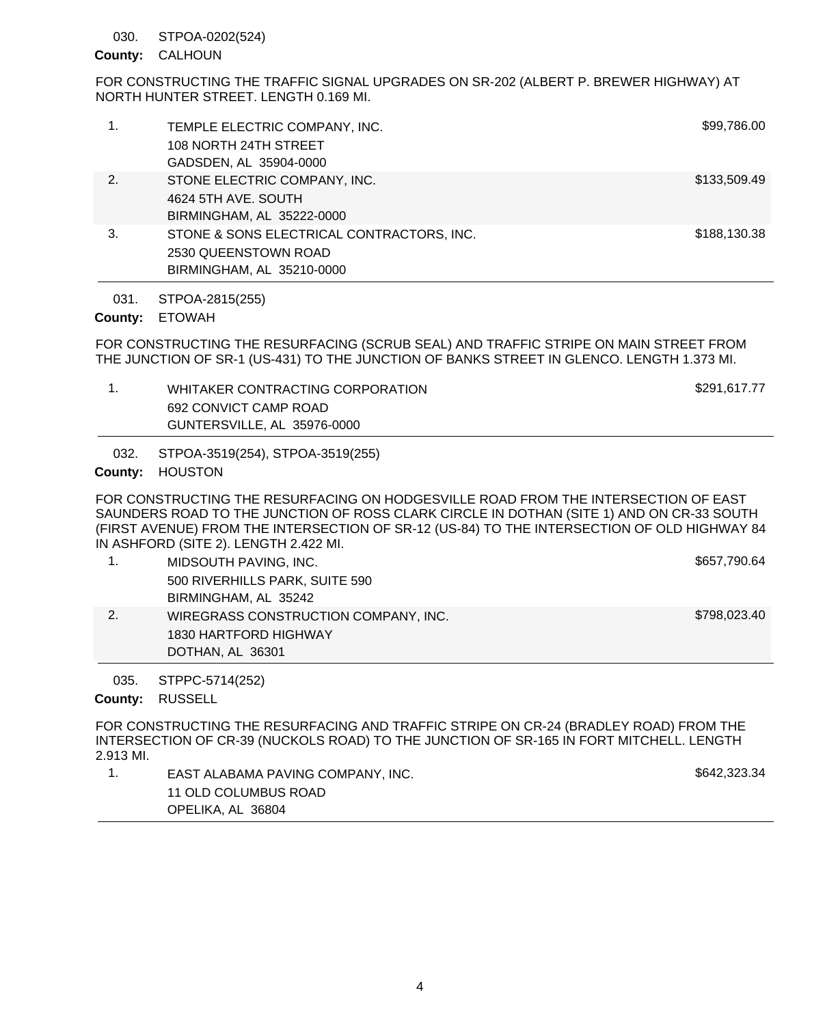#### STPOA-0202(524) 030.

## County: CALHOUN

FOR CONSTRUCTING THE TRAFFIC SIGNAL UPGRADES ON SR-202 (ALBERT P. BREWER HIGHWAY) AT NORTH HUNTER STREET. LENGTH 0.169 MI.

| 1. | TEMPLE ELECTRIC COMPANY, INC.<br>108 NORTH 24TH STREET<br>GADSDEN, AL 35904-0000               | \$99,786.00  |
|----|------------------------------------------------------------------------------------------------|--------------|
| 2. | STONE ELECTRIC COMPANY, INC.<br>4624 5TH AVE, SOUTH<br>BIRMINGHAM, AL 35222-0000               | \$133,509.49 |
| 3. | STONE & SONS ELECTRICAL CONTRACTORS, INC.<br>2530 QUEENSTOWN ROAD<br>BIRMINGHAM, AL 35210-0000 | \$188,130.38 |

STPOA-2815(255) 031.

### County: ETOWAH

FOR CONSTRUCTING THE RESURFACING (SCRUB SEAL) AND TRAFFIC STRIPE ON MAIN STREET FROM THE JUNCTION OF SR-1 (US-431) TO THE JUNCTION OF BANKS STREET IN GLENCO. LENGTH 1.373 MI.

| WHITAKER CONTRACTING CORPORATION | \$291.617.77 |
|----------------------------------|--------------|
| 692 CONVICT CAMP ROAD            |              |
| GUNTERSVILLE, AL 35976-0000      |              |

STPOA-3519(254), STPOA-3519(255) 032.

County: HOUSTON

FOR CONSTRUCTING THE RESURFACING ON HODGESVILLE ROAD FROM THE INTERSECTION OF EAST SAUNDERS ROAD TO THE JUNCTION OF ROSS CLARK CIRCLE IN DOTHAN (SITE 1) AND ON CR-33 SOUTH (FIRST AVENUE) FROM THE INTERSECTION OF SR-12 (US-84) TO THE INTERSECTION OF OLD HIGHWAY 84 IN ASHFORD (SITE 2). LENGTH 2.422 MI.

|    | MIDSOUTH PAVING, INC.                | \$657,790.64 |
|----|--------------------------------------|--------------|
|    | 500 RIVERHILLS PARK, SUITE 590       |              |
|    | BIRMINGHAM, AL 35242                 |              |
| 2. | WIREGRASS CONSTRUCTION COMPANY, INC. | \$798,023.40 |
|    | 1830 HARTFORD HIGHWAY                |              |
|    | DOTHAN, AL 36301                     |              |

STPPC-5714(252) 035.

County: RUSSELL

FOR CONSTRUCTING THE RESURFACING AND TRAFFIC STRIPE ON CR-24 (BRADLEY ROAD) FROM THE INTERSECTION OF CR-39 (NUCKOLS ROAD) TO THE JUNCTION OF SR-165 IN FORT MITCHELL. LENGTH 2.913 MI.

1. EAST ALABAMA PAVING COMPANY, INC. \$642,323.34 11 OLD COLUMBUS ROAD OPELIKA, AL 36804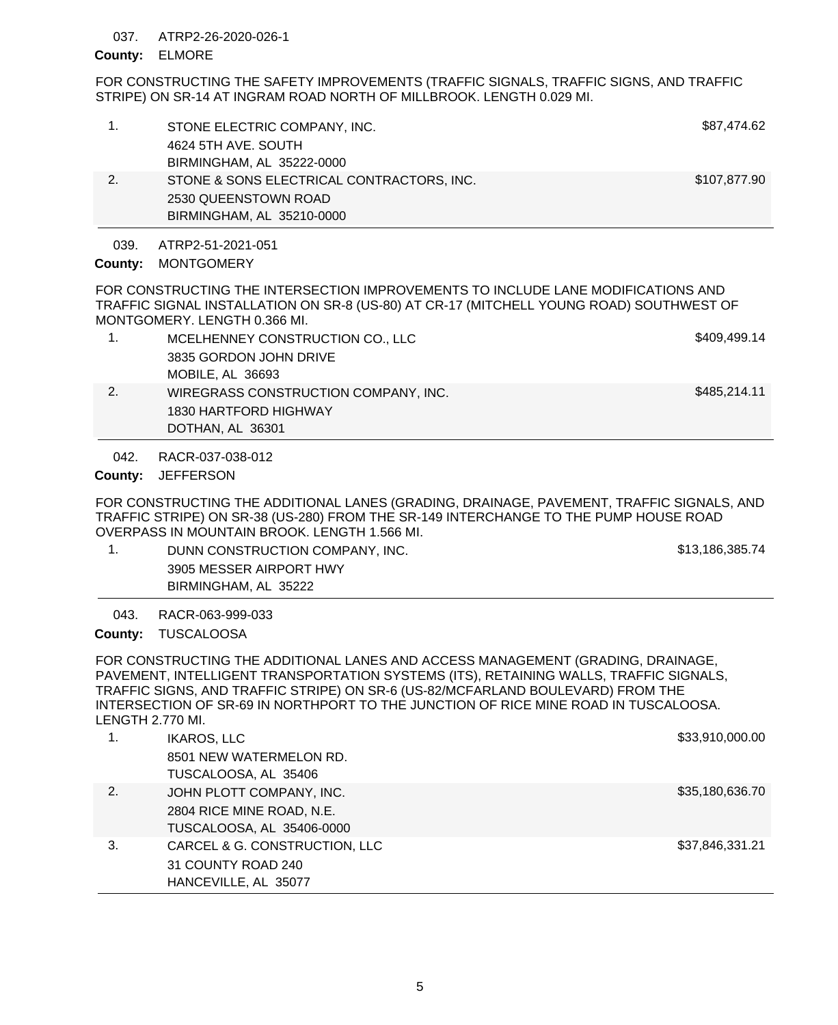#### ATRP2-26-2020-026-1 037.

### ELMORE **County:**

FOR CONSTRUCTING THE SAFETY IMPROVEMENTS (TRAFFIC SIGNALS, TRAFFIC SIGNS, AND TRAFFIC STRIPE) ON SR-14 AT INGRAM ROAD NORTH OF MILLBROOK. LENGTH 0.029 MI.

|    | STONE ELECTRIC COMPANY, INC.              | \$87,474.62  |
|----|-------------------------------------------|--------------|
|    | 4624 5TH AVE, SOUTH                       |              |
|    | BIRMINGHAM, AL 35222-0000                 |              |
| 2. | STONE & SONS ELECTRICAL CONTRACTORS, INC. | \$107,877.90 |
|    | 2530 QUEENSTOWN ROAD                      |              |
|    | BIRMINGHAM, AL 35210-0000                 |              |
|    |                                           |              |

#### ATRP2-51-2021-051 039.

## County: MONTGOMERY

FOR CONSTRUCTING THE INTERSECTION IMPROVEMENTS TO INCLUDE LANE MODIFICATIONS AND TRAFFIC SIGNAL INSTALLATION ON SR-8 (US-80) AT CR-17 (MITCHELL YOUNG ROAD) SOUTHWEST OF MONTGOMERY. LENGTH 0.366 MI.

| MCELHENNEY CONSTRUCTION CO., LLC     | \$409.499.14 |
|--------------------------------------|--------------|
| 3835 GORDON JOHN DRIVE               |              |
| MOBILE, AL 36693                     |              |
| WIREGRASS CONSTRUCTION COMPANY, INC. | \$485.214.11 |

1830 HARTFORD HIGHWAY DOTHAN, AL 36301

#### RACR-037-038-012 042.

# County: JEFFERSON

FOR CONSTRUCTING THE ADDITIONAL LANES (GRADING, DRAINAGE, PAVEMENT, TRAFFIC SIGNALS, AND TRAFFIC STRIPE) ON SR-38 (US-280) FROM THE SR-149 INTERCHANGE TO THE PUMP HOUSE ROAD OVERPASS IN MOUNTAIN BROOK. LENGTH 1.566 MI.

1. DUNN CONSTRUCTION COMPANY, INC. The same state of the state of the state of the state of the state of the state of the state of the state of the state of the state of the state of the state of the state of the state of 3905 MESSER AIRPORT HWY

BIRMINGHAM, AL 35222

RACR-063-999-033 043.

County: TUSCALOOSA

FOR CONSTRUCTING THE ADDITIONAL LANES AND ACCESS MANAGEMENT (GRADING, DRAINAGE, PAVEMENT, INTELLIGENT TRANSPORTATION SYSTEMS (ITS), RETAINING WALLS, TRAFFIC SIGNALS, TRAFFIC SIGNS, AND TRAFFIC STRIPE) ON SR-6 (US-82/MCFARLAND BOULEVARD) FROM THE INTERSECTION OF SR-69 IN NORTHPORT TO THE JUNCTION OF RICE MINE ROAD IN TUSCALOOSA. LENGTH 2.770 MI.

|    | <b>IKAROS, LLC</b>            | \$33,910,000.00 |
|----|-------------------------------|-----------------|
|    | 8501 NEW WATERMELON RD.       |                 |
|    | TUSCALOOSA, AL 35406          |                 |
| 2. | JOHN PLOTT COMPANY, INC.      | \$35,180,636.70 |
|    | 2804 RICE MINE ROAD, N.E.     |                 |
|    | TUSCALOOSA, AL 35406-0000     |                 |
| 3. | CARCEL & G. CONSTRUCTION, LLC | \$37,846,331.21 |
|    | 31 COUNTY ROAD 240            |                 |
|    | HANCEVILLE, AL 35077          |                 |